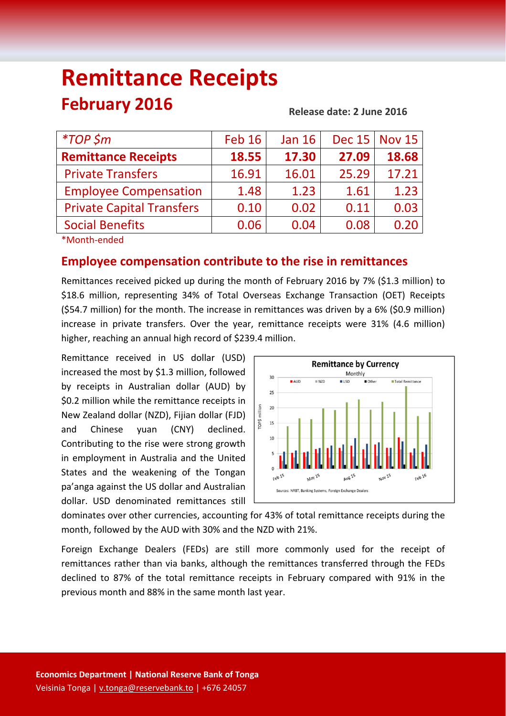# **Remittance Receipts February 2016**

**Release date: 2 June 2016**

| $*$ TOP \$m                                                                                                     | <b>Feb 16</b> | <b>Jan 16</b> |       | Dec 15   Nov 15 |
|-----------------------------------------------------------------------------------------------------------------|---------------|---------------|-------|-----------------|
| <b>Remittance Receipts</b>                                                                                      | 18.55         | 17.30         | 27.09 | 18.68           |
| <b>Private Transfers</b>                                                                                        | 16.91         | 16.01         | 25.29 | 17.21           |
| <b>Employee Compensation</b>                                                                                    | 1.48          | 1.23          | 1.61  | 1.23            |
| <b>Private Capital Transfers</b>                                                                                | 0.10          | 0.02          | 0.11  | 0.03            |
| <b>Social Benefits</b>                                                                                          | 0.06          | 0.04          | 0.08  | 0.20            |
| the contract of the contract of the contract of the contract of the contract of the contract of the contract of |               |               |       |                 |

\*Month‐ended

## **Employee compensation contribute to the rise in remittances**

Remittances received picked up during the month of February 2016 by 7% (\$1.3 million) to \$18.6 million, representing 34% of Total Overseas Exchange Transaction (OET) Receipts (\$54.7 million) for the month. The increase in remittances was driven by a 6% (\$0.9 million) increase in private transfers. Over the year, remittance receipts were 31% (4.6 million) higher, reaching an annual high record of \$239.4 million.

Remittance received in US dollar (USD) increased the most by \$1.3 million, followed by receipts in Australian dollar (AUD) by \$0.2 million while the remittance receipts in New Zealand dollar (NZD), Fijian dollar (FJD) and Chinese yuan (CNY) declined. Contributing to the rise were strong growth in employment in Australia and the United States and the weakening of the Tongan pa'anga against the US dollar and Australian dollar. USD denominated remittances still



dominates over other currencies, accounting for 43% of total remittance receipts during the month, followed by the AUD with 30% and the NZD with 21%.

Foreign Exchange Dealers (FEDs) are still more commonly used for the receipt of remittances rather than via banks, although the remittances transferred through the FEDs declined to 87% of the total remittance receipts in February compared with 91% in the previous month and 88% in the same month last year.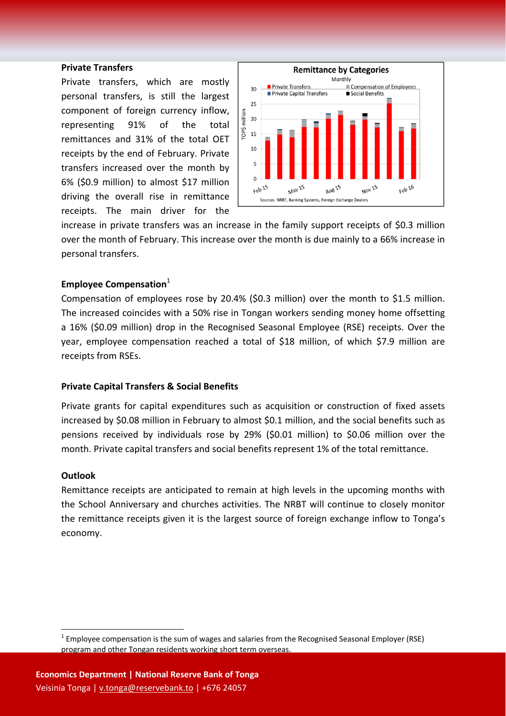#### **Private Transfers**

Private transfers, which are mostly personal transfers, is still the largest component of foreign currency inflow, representing 91% of the total remittances and 31% of the total OET receipts by the end of February. Private transfers increased over the month by 6% (\$0.9 million) to almost \$17 million driving the overall rise in remittance receipts. The main driver for the



increase in private transfers was an increase in the family support receipts of \$0.3 million over the month of February. This increase over the month is due mainly to a 66% increase in personal transfers.

#### **Employee Compensation**<sup>1</sup>

Compensation of employees rose by 20.4% (\$0.3 million) over the month to \$1.5 million. The increased coincides with a 50% rise in Tongan workers sending money home offsetting a 16% (\$0.09 million) drop in the Recognised Seasonal Employee (RSE) receipts. Over the year, employee compensation reached a total of \$18 million, of which \$7.9 million are receipts from RSEs.

#### **Private Capital Transfers & Social Benefits**

Private grants for capital expenditures such as acquisition or construction of fixed assets increased by \$0.08 million in February to almost \$0.1 million, and the social benefits such as pensions received by individuals rose by 29% (\$0.01 million) to \$0.06 million over the month. Private capital transfers and social benefits represent 1% of the total remittance.

#### **Outlook**

Remittance receipts are anticipated to remain at high levels in the upcoming months with the School Anniversary and churches activities. The NRBT will continue to closely monitor the remittance receipts given it is the largest source of foreign exchange inflow to Tonga's economy.

 $1$  Employee compensation is the sum of wages and salaries from the Recognised Seasonal Employer (RSE) program and other Tongan residents working short term overseas.